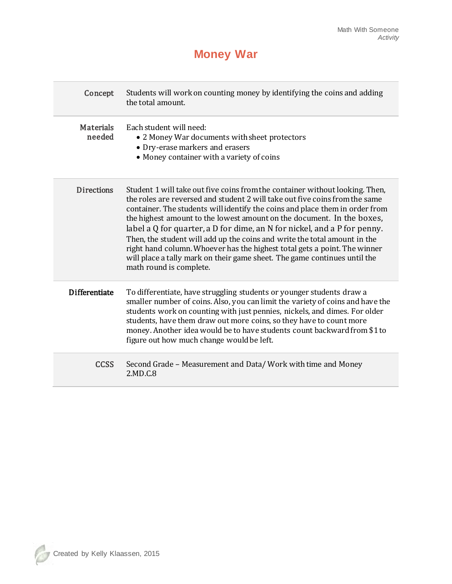## **Money War**

| Concept                    | Students will work on counting money by identifying the coins and adding<br>the total amount.                                                                                                                                                                                                                                                                                                                                                                                                                                                                                                                                                                               |
|----------------------------|-----------------------------------------------------------------------------------------------------------------------------------------------------------------------------------------------------------------------------------------------------------------------------------------------------------------------------------------------------------------------------------------------------------------------------------------------------------------------------------------------------------------------------------------------------------------------------------------------------------------------------------------------------------------------------|
| <b>Materials</b><br>needed | Each student will need:<br>• 2 Money War documents with sheet protectors<br>• Dry-erase markers and erasers<br>• Money container with a variety of coins                                                                                                                                                                                                                                                                                                                                                                                                                                                                                                                    |
| <b>Directions</b>          | Student 1 will take out five coins from the container without looking. Then,<br>the roles are reversed and student 2 will take out five coins from the same<br>container. The students will identify the coins and place them in order from<br>the highest amount to the lowest amount on the document. In the boxes,<br>label a $Q$ for quarter, a $D$ for dime, an $N$ for nickel, and a $P$ for penny.<br>Then, the student will add up the coins and write the total amount in the<br>right hand column. Whoever has the highest total gets a point. The winner<br>will place a tally mark on their game sheet. The game continues until the<br>math round is complete. |
| <b>Differentiate</b>       | To differentiate, have struggling students or younger students draw a<br>smaller number of coins. Also, you can limit the variety of coins and have the<br>students work on counting with just pennies, nickels, and dimes. For older<br>students, have them draw out more coins, so they have to count more<br>money. Another idea would be to have students count backward from \$1 to<br>figure out how much change would be left.                                                                                                                                                                                                                                       |
| <b>CCSS</b>                | Second Grade - Measurement and Data/Work with time and Money<br>2.MD.C.8                                                                                                                                                                                                                                                                                                                                                                                                                                                                                                                                                                                                    |